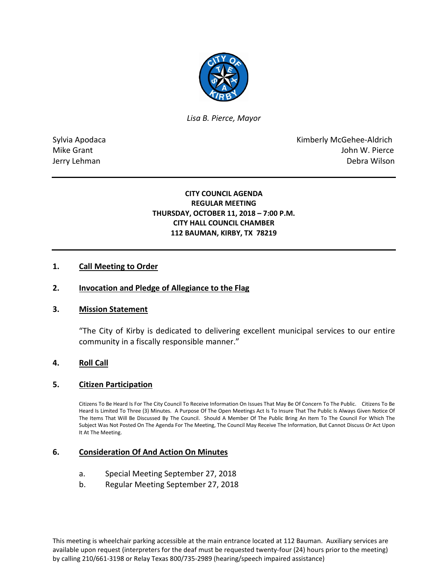

*Lisa B. Pierce, Mayor* 

Sylvia Apodaca National According Control of American Control of Kimberly McGehee-Aldrich Mike Grant **John W. Pierce** Jerry Lehman Debra Wilson

## **CITY COUNCIL AGENDA REGULAR MEETING THURSDAY, OCTOBER 11, 2018 – 7:00 P.M. CITY HALL COUNCIL CHAMBER 112 BAUMAN, KIRBY, TX 78219**

## **1. Call Meeting to Order**

## **2. Invocation and Pledge of Allegiance to the Flag**

#### **3. Mission Statement**

"The City of Kirby is dedicated to delivering excellent municipal services to our entire community in a fiscally responsible manner."

#### **4. Roll Call**

#### **5. Citizen Participation**

Citizens To Be Heard Is For The City Council To Receive Information On Issues That May Be Of Concern To The Public. Citizens To Be Heard Is Limited To Three (3) Minutes. A Purpose Of The Open Meetings Act Is To Insure That The Public Is Always Given Notice Of The Items That Will Be Discussed By The Council. Should A Member Of The Public Bring An Item To The Council For Which The Subject Was Not Posted On The Agenda For The Meeting, The Council May Receive The Information, But Cannot Discuss Or Act Upon It At The Meeting.

### **6. Consideration Of And Action On Minutes**

- a. Special Meeting September 27, 2018
- b. Regular Meeting September 27, 2018

This meeting is wheelchair parking accessible at the main entrance located at 112 Bauman. Auxiliary services are available upon request (interpreters for the deaf must be requested twenty-four (24) hours prior to the meeting) by calling 210/661-3198 or Relay Texas 800/735-2989 (hearing/speech impaired assistance)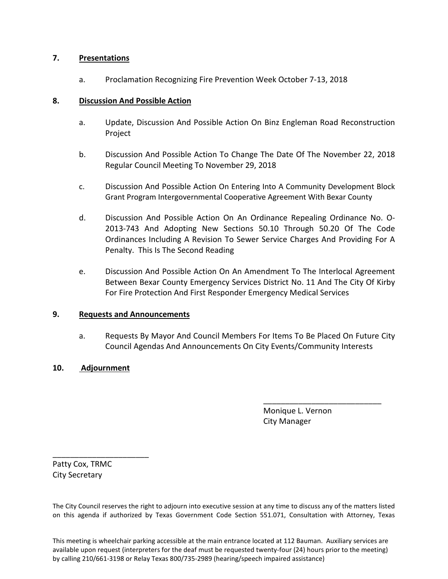## **7. Presentations**

a. Proclamation Recognizing Fire Prevention Week October 7-13, 2018

## **8. Discussion And Possible Action**

- a. Update, Discussion And Possible Action On Binz Engleman Road Reconstruction Project
- b. Discussion And Possible Action To Change The Date Of The November 22, 2018 Regular Council Meeting To November 29, 2018
- c. Discussion And Possible Action On Entering Into A Community Development Block Grant Program Intergovernmental Cooperative Agreement With Bexar County
- d. Discussion And Possible Action On An Ordinance Repealing Ordinance No. O-2013-743 And Adopting New Sections 50.10 Through 50.20 Of The Code Ordinances Including A Revision To Sewer Service Charges And Providing For A Penalty. This Is The Second Reading
- e. Discussion And Possible Action On An Amendment To The Interlocal Agreement Between Bexar County Emergency Services District No. 11 And The City Of Kirby For Fire Protection And First Responder Emergency Medical Services

## **9. Requests and Announcements**

a. Requests By Mayor And Council Members For Items To Be Placed On Future City Council Agendas And Announcements On City Events/Community Interests

\_\_\_\_\_\_\_\_\_\_\_\_\_\_\_\_\_\_\_\_\_\_\_\_\_\_\_

# **10. Adjournment**

 Monique L. Vernon City Manager

Patty Cox, TRMC City Secretary

\_\_\_\_\_\_\_\_\_\_\_\_\_\_\_\_\_\_\_\_\_\_

The City Council reserves the right to adjourn into executive session at any time to discuss any of the matters listed on this agenda if authorized by Texas Government Code Section 551.071, Consultation with Attorney, Texas

This meeting is wheelchair parking accessible at the main entrance located at 112 Bauman. Auxiliary services are available upon request (interpreters for the deaf must be requested twenty-four (24) hours prior to the meeting) by calling 210/661-3198 or Relay Texas 800/735-2989 (hearing/speech impaired assistance)